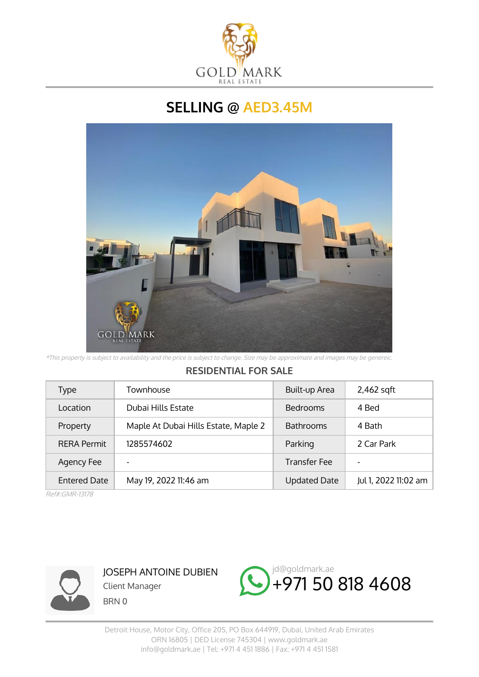

## **SELLING @ AED3.45M**



\*This property is subject to availability and the price is subject to change. Size may be approximate and images may be genereic.

## **RESIDENTIAL FOR SALE**

| Type                | Townhouse                            | Built-up Area       | 2,462 sqft               |
|---------------------|--------------------------------------|---------------------|--------------------------|
| Location            | Dubai Hills Estate                   | <b>Bedrooms</b>     | 4 Bed                    |
| Property            | Maple At Dubai Hills Estate, Maple 2 | <b>Bathrooms</b>    | 4 Bath                   |
| <b>RERA Permit</b>  | 1285574602                           | Parking             | 2 Car Park               |
| Agency Fee          |                                      | <b>Transfer Fee</b> | $\overline{\phantom{a}}$ |
| <b>Entered Date</b> | May 19, 2022 11:46 am                | <b>Updated Date</b> | Jul 1, 2022 11:02 am     |

Ref#:GMR-13178



JOSEPH ANTOINE DUBIEN Client Manager BRN 0

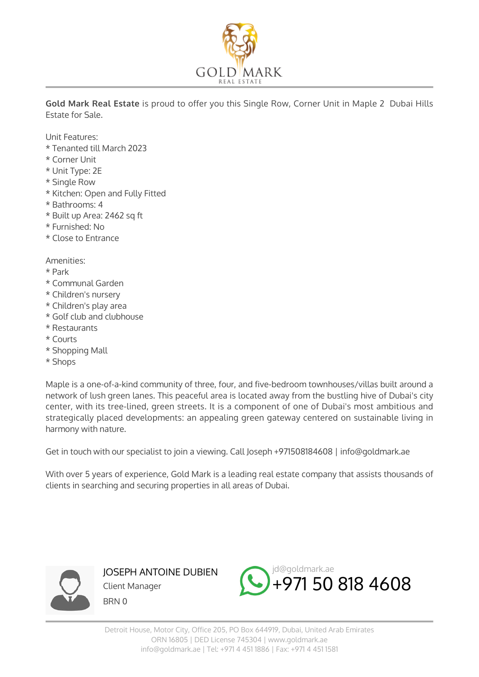

**Gold Mark Real Estate** is proud to offer you this Single Row, Corner Unit in Maple 2 Dubai Hills Estate for Sale.

Unit Features:

- \* Tenanted till March 2023
- \* Corner Unit
- \* Unit Type: 2E
- \* Single Row
- \* Kitchen: Open and Fully Fitted
- \* Bathrooms: 4
- \* Built up Area: 2462 sq ft
- \* Furnished: No
- \* Close to Entrance

Amenities:

- \* Park
- \* Communal Garden
- \* Children's nursery
- \* Children's play area
- \* Golf club and clubhouse
- \* Restaurants
- \* Courts
- \* Shopping Mall
- \* Shops

Maple is a one-of-a-kind community of three, four, and five-bedroom townhouses/villas built around a network of lush green lanes. This peaceful area is located away from the bustling hive of Dubai's city center, with its tree-lined, green streets. It is a component of one of Dubai's most ambitious and strategically placed developments: an appealing green gateway centered on sustainable living in harmony with nature.

Get in touch with our specialist to join a viewing. Call Joseph +971508184608 | info@goldmark.ae

With over 5 years of experience, Gold Mark is a leading real estate company that assists thousands of clients in searching and securing properties in all areas of Dubai.



JOSEPH ANTOINE DUBIEN Client Manager BRN 0